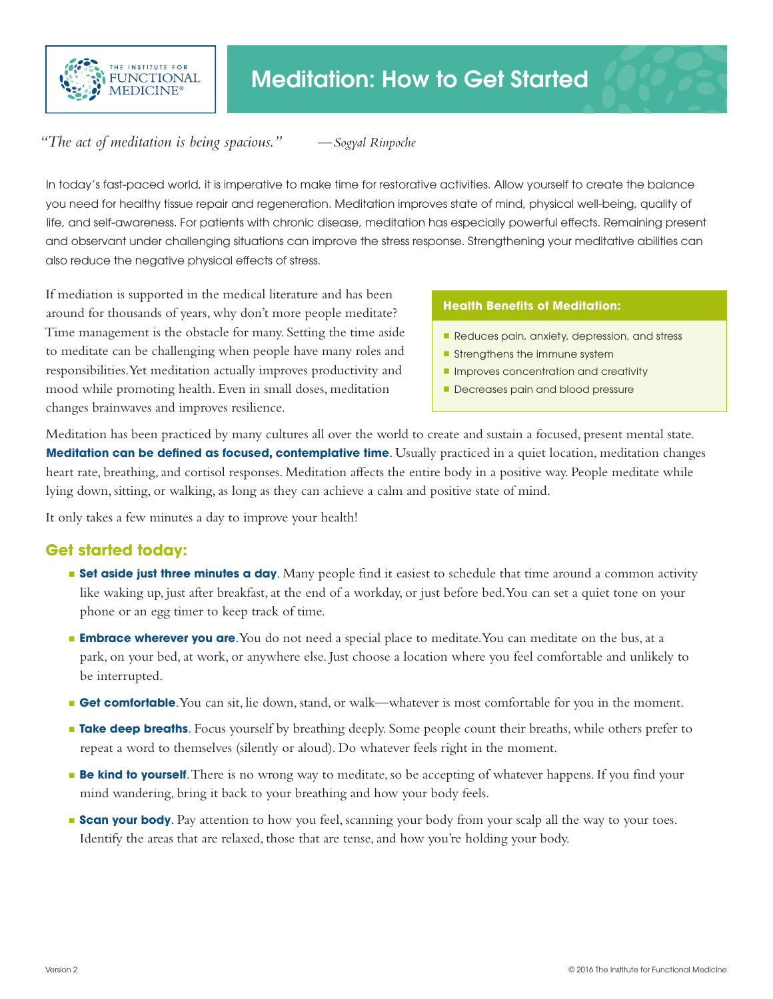

## *"The act of meditation is being spacious." —Sogyal Rinpoche*

In today's fast-paced world, it is imperative to make time for restorative activities. Allow yourself to create the balance you need for healthy tissue repair and regeneration. Meditation improves state of mind, physical well-being, quality of life, and self-awareness. For patients with chronic disease, meditation has especially powerful effects. Remaining present and observant under challenging situations can improve the stress response. Strengthening your meditative abilities can also reduce the negative physical effects of stress.

If mediation is supported in the medical literature and has been around for thousands of years, why don't more people meditate? Time management is the obstacle for many. Setting the time aside to meditate can be challenging when people have many roles and responsibilities. Yet meditation actually improves productivity and mood while promoting health. Even in small doses, meditation changes brainwaves and improves resilience.

## **Health Benefits of Meditation:**

- Reduces pain, anxiety, depression, and stress
- $\blacksquare$  Strengthens the immune system
- **n** Improves concentration and creativity
- Decreases pain and blood pressure

Meditation has been practiced by many cultures all over the world to create and sustain a focused, present mental state. **Meditation can be defined as focused, contemplative time**. Usually practiced in a quiet location, meditation changes heart rate, breathing, and cortisol responses. Meditation affects the entire body in a positive way. People meditate while lying down, sitting, or walking, as long as they can achieve a calm and positive state of mind.

It only takes a few minutes a day to improve your health!

## **Get started today:**

- **Set aside just three minutes a day**. Many people find it easiest to schedule that time around a common activity like waking up, just after breakfast, at the end of a workday, or just before bed. You can set a quiet tone on your phone or an egg timer to keep track of time.
- **Embrace wherever you are**. You do not need a special place to meditate. You can meditate on the bus, at a park, on your bed, at work, or anywhere else. Just choose a location where you feel comfortable and unlikely to be interrupted.
- **Get comfortable**. You can sit, lie down, stand, or walk—whatever is most comfortable for you in the moment.
- **n** Take deep breaths. Focus yourself by breathing deeply. Some people count their breaths, while others prefer to repeat a word to themselves (silently or aloud). Do whatever feels right in the moment.
- **Be kind to yourself**. There is no wrong way to meditate, so be accepting of whatever happens. If you find your mind wandering, bring it back to your breathing and how your body feels.
- **Scan your body**. Pay attention to how you feel, scanning your body from your scalp all the way to your toes. Identify the areas that are relaxed, those that are tense, and how you're holding your body.